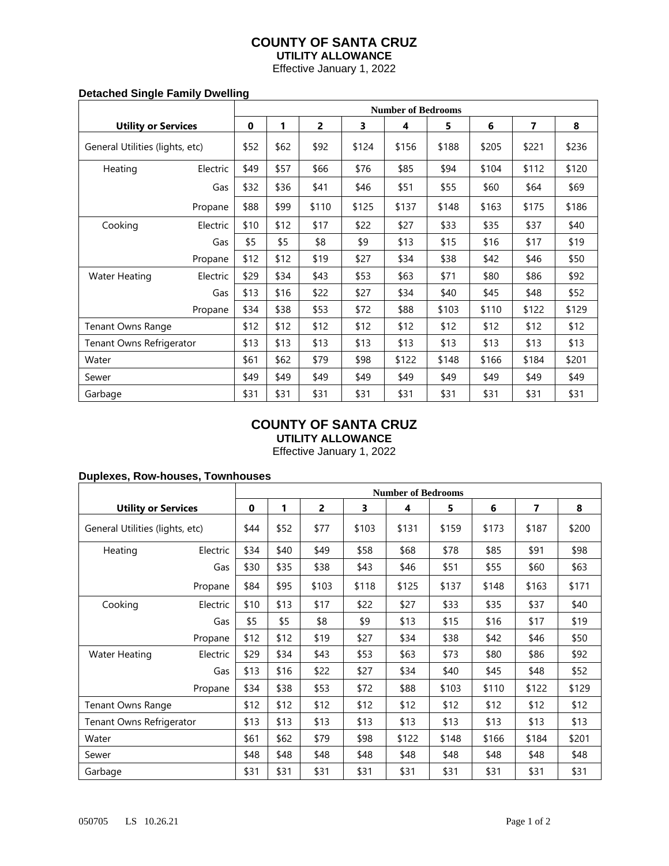# **COUNTY OF SANTA CRUZ**

**UTILITY ALLOWANCE** Effective January 1, 2022

**Detached Single Family Dwelling**

|                                 |          | <b>Number of Bedrooms</b> |      |                |       |       |       |       |       |       |
|---------------------------------|----------|---------------------------|------|----------------|-------|-------|-------|-------|-------|-------|
| <b>Utility or Services</b>      |          | $\mathbf 0$               | 1    | $\overline{2}$ | 3     | 4     | 5     | 6     | 7     | 8     |
| General Utilities (lights, etc) |          | \$52                      | \$62 | \$92           | \$124 | \$156 | \$188 | \$205 | \$221 | \$236 |
| Heating                         | Electric | \$49                      | \$57 | \$66           | \$76  | \$85  | \$94  | \$104 | \$112 | \$120 |
|                                 | Gas      | \$32                      | \$36 | \$41           | \$46  | \$51  | \$55  | \$60  | \$64  | \$69  |
|                                 | Propane  | \$88                      | \$99 | \$110          | \$125 | \$137 | \$148 | \$163 | \$175 | \$186 |
| Cooking                         | Electric | \$10                      | \$12 | \$17           | \$22  | \$27  | \$33  | \$35  | \$37  | \$40  |
|                                 | Gas      | \$5                       | \$5  | \$8            | \$9   | \$13  | \$15  | \$16  | \$17  | \$19  |
|                                 | Propane  | \$12                      | \$12 | \$19           | \$27  | \$34  | \$38  | \$42  | \$46  | \$50  |
| Water Heating                   | Electric | \$29                      | \$34 | \$43           | \$53  | \$63  | \$71  | \$80  | \$86  | \$92  |
|                                 | Gas      | \$13                      | \$16 | \$22           | \$27  | \$34  | \$40  | \$45  | \$48  | \$52  |
|                                 | Propane  | \$34                      | \$38 | \$53           | \$72  | \$88  | \$103 | \$110 | \$122 | \$129 |
| Tenant Owns Range               |          | \$12                      | \$12 | \$12           | \$12  | \$12  | \$12  | \$12  | \$12  | \$12  |
| Tenant Owns Refrigerator        |          | \$13                      | \$13 | \$13           | \$13  | \$13  | \$13  | \$13  | \$13  | \$13  |
| Water                           |          | \$61                      | \$62 | \$79           | \$98  | \$122 | \$148 | \$166 | \$184 | \$201 |
| Sewer                           |          | \$49                      | \$49 | \$49           | \$49  | \$49  | \$49  | \$49  | \$49  | \$49  |
| Garbage                         |          | \$31                      | \$31 | \$31           | \$31  | \$31  | \$31  | \$31  | \$31  | \$31  |

# **COUNTY OF SANTA CRUZ UTILITY ALLOWANCE**

Effective January 1, 2022

# **Duplexes, Row-houses, Townhouses**

|                                 |          | <b>Number of Bedrooms</b> |      |                |       |       |       |       |       |       |
|---------------------------------|----------|---------------------------|------|----------------|-------|-------|-------|-------|-------|-------|
| <b>Utility or Services</b>      |          | $\mathbf 0$               | 1    | $\overline{2}$ | 3     | 4     | 5     | 6     | 7     | 8     |
| General Utilities (lights, etc) |          | \$44                      | \$52 | \$77           | \$103 | \$131 | \$159 | \$173 | \$187 | \$200 |
| Heating                         | Electric | \$34                      | \$40 | \$49           | \$58  | \$68  | \$78  | \$85  | \$91  | \$98  |
|                                 | Gas      | \$30                      | \$35 | \$38           | \$43  | \$46  | \$51  | \$55  | \$60  | \$63  |
|                                 | Propane  | \$84                      | \$95 | \$103          | \$118 | \$125 | \$137 | \$148 | \$163 | \$171 |
| Cooking                         | Electric | \$10                      | \$13 | \$17           | \$22  | \$27  | \$33  | \$35  | \$37  | \$40  |
|                                 | Gas      | \$5                       | \$5  | \$8            | \$9   | \$13  | \$15  | \$16  | \$17  | \$19  |
|                                 | Propane  | \$12                      | \$12 | \$19           | \$27  | \$34  | \$38  | \$42  | \$46  | \$50  |
| <b>Water Heating</b>            | Electric | \$29                      | \$34 | \$43           | \$53  | \$63  | \$73  | \$80  | \$86  | \$92  |
|                                 | Gas      | \$13                      | \$16 | \$22           | \$27  | \$34  | \$40  | \$45  | \$48  | \$52  |
|                                 | Propane  | \$34                      | \$38 | \$53           | \$72  | \$88  | \$103 | \$110 | \$122 | \$129 |
| <b>Tenant Owns Range</b>        |          | \$12                      | \$12 | \$12           | \$12  | \$12  | \$12  | \$12  | \$12  | \$12  |
| Tenant Owns Refrigerator        |          | \$13                      | \$13 | \$13           | \$13  | \$13  | \$13  | \$13  | \$13  | \$13  |
| Water                           |          | \$61                      | \$62 | \$79           | \$98  | \$122 | \$148 | \$166 | \$184 | \$201 |
| Sewer                           |          | \$48                      | \$48 | \$48           | \$48  | \$48  | \$48  | \$48  | \$48  | \$48  |
| Garbage                         |          | \$31                      | \$31 | \$31           | \$31  | \$31  | \$31  | \$31  | \$31  | \$31  |